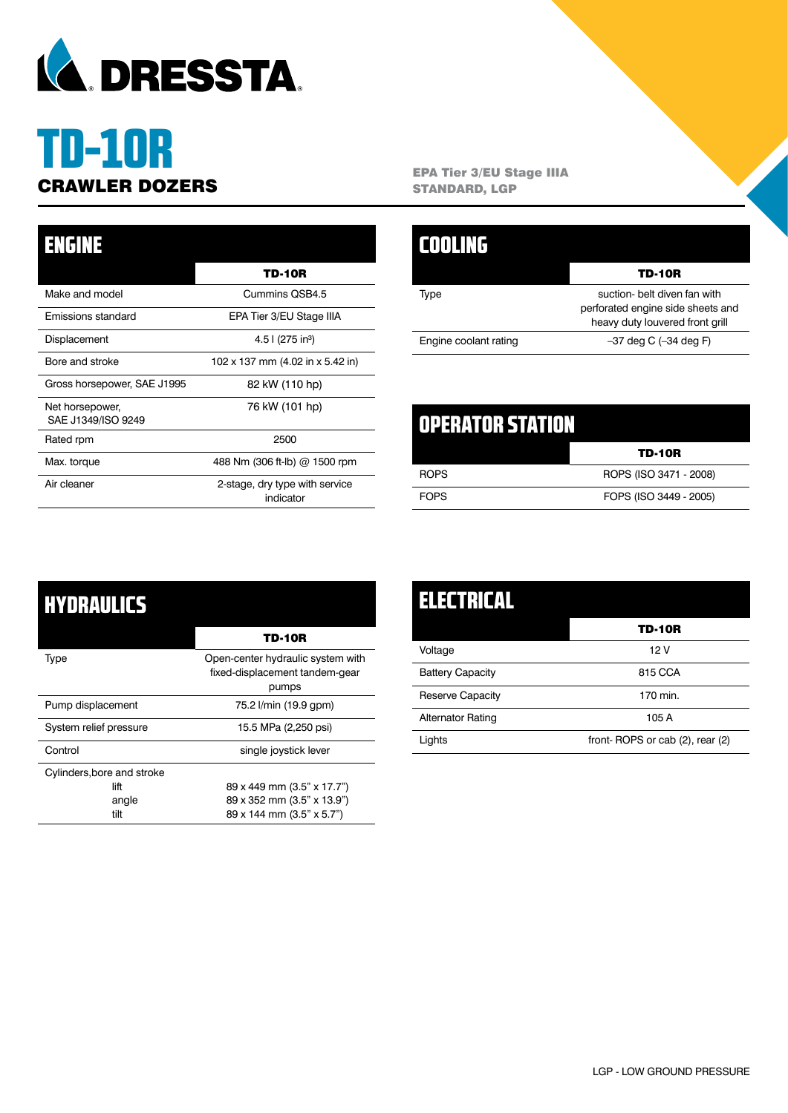

# TD-10R

| <b>ENGINE</b>                         |                                             |
|---------------------------------------|---------------------------------------------|
|                                       | TD-10R                                      |
| Make and model                        | Cummins QSB4.5                              |
| Emissions standard                    | EPA Tier 3/EU Stage IIIA                    |
| Displacement                          | 4.5 l (275 in <sup>3</sup> )                |
| Bore and stroke                       | 102 x 137 mm (4.02 in x 5.42 in)            |
| Gross horsepower, SAE J1995           | 82 kW (110 hp)                              |
| Net horsepower,<br>SAE J1349/ISO 9249 | 76 kW (101 hp)                              |
| Rated rpm                             | 2500                                        |
| Max. torque                           | 488 Nm (306 ft-lb) @ 1500 rpm               |
| Air cleaner                           | 2-stage, dry type with service<br>indicator |

**CRAWLER DOZERS** EPA Tier 3/EU Stage IIIA<br>
STANDARD, LGP STANDARD, LGP

|                       | TD-10R                                                                                               |
|-----------------------|------------------------------------------------------------------------------------------------------|
| Type                  | suction- belt diven fan with<br>perforated engine side sheets and<br>heavy duty louvered front grill |
| Engine coolant rating | $-37$ deg C $(-34$ deg F)                                                                            |
|                       |                                                                                                      |

| 00 237ATORSTATION |                        |
|-------------------|------------------------|
|                   | TD-10R                 |
| <b>ROPS</b>       | ROPS (ISO 3471 - 2008) |
| <b>FOPS</b>       | FOPS (ISO 3449 - 2005) |

| HYDRAULICS                 |                                                                              |
|----------------------------|------------------------------------------------------------------------------|
|                            | TD-10R                                                                       |
| Type                       | Open-center hydraulic system with<br>fixed-displacement tandem-gear<br>pumps |
| Pump displacement          | 75.2 l/min (19.9 gpm)                                                        |
| System relief pressure     | 15.5 MPa (2,250 psi)                                                         |
| Control                    | single joystick lever                                                        |
| Cylinders, bore and stroke |                                                                              |
| lift                       | 89 x 449 mm (3.5" x 17.7")                                                   |
| angle                      | 89 x 352 mm (3.5" x 13.9")                                                   |
| tilt                       | 89 x 144 mm (3.5" x 5.7")                                                    |

| ELECTRICAL               |                                 |
|--------------------------|---------------------------------|
|                          | <b>TD-10R</b>                   |
| Voltage                  | 12 V                            |
| <b>Battery Capacity</b>  | 815 CCA                         |
| <b>Reserve Capacity</b>  | 170 min.                        |
| <b>Alternator Rating</b> | 105 A                           |
| Lights                   | front-ROPS or cab (2), rear (2) |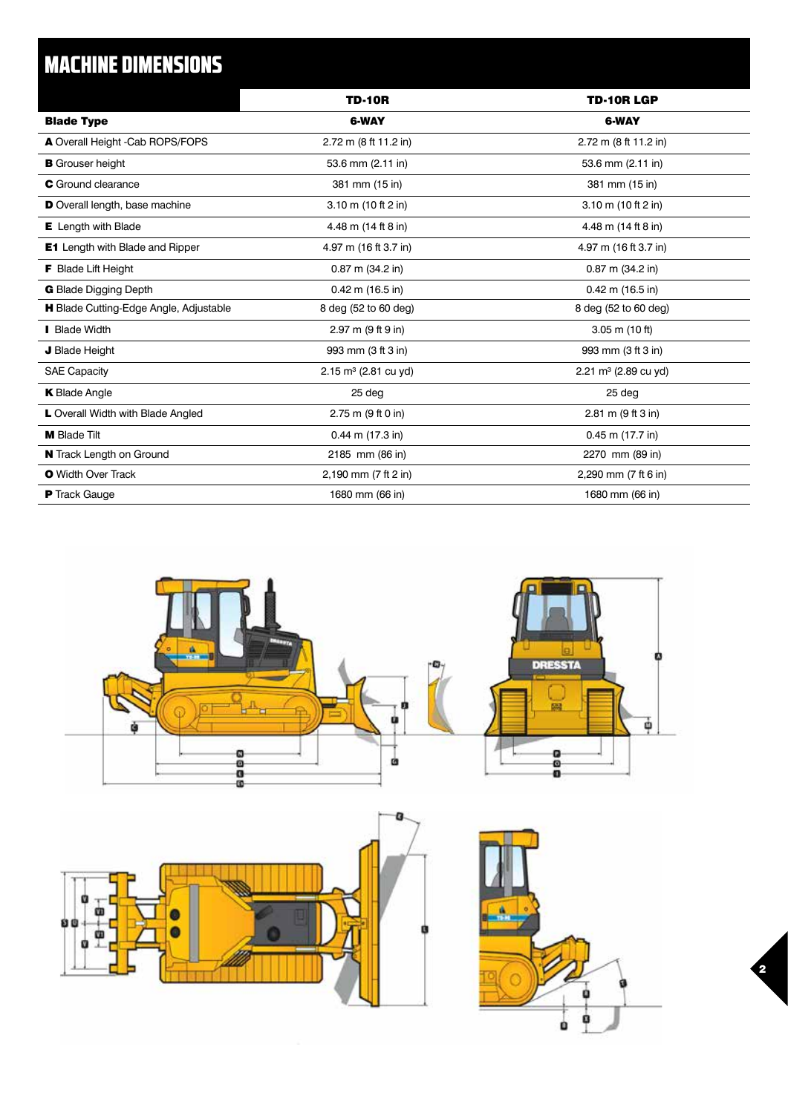## MACHINE DIMENSIONS

|                                        | <b>TD-10R</b>                   | <b>TD-10R LGP</b>            |
|----------------------------------------|---------------------------------|------------------------------|
| <b>Blade Type</b>                      | <b>6-WAY</b>                    | <b>6-WAY</b>                 |
| A Overall Height -Cab ROPS/FOPS        | 2.72 m (8 ft 11.2 in)           | 2.72 m (8 ft 11.2 in)        |
| <b>B</b> Grouser height                | 53.6 mm (2.11 in)               | 53.6 mm (2.11 in)            |
| <b>C</b> Ground clearance              | 381 mm (15 in)                  | 381 mm (15 in)               |
| D Overall length, base machine         | 3.10 m (10 ft 2 in)             | 3.10 m (10 ft 2 in)          |
| <b>E</b> Length with Blade             | 4.48 m (14 ft 8 in)             | 4.48 m (14 ft 8 in)          |
| <b>E1</b> Length with Blade and Ripper | 4.97 m (16 ft 3.7 in)           | 4.97 m (16 ft 3.7 in)        |
| <b>F</b> Blade Lift Height             | $0.87$ m $(34.2$ in)            | $0.87$ m $(34.2$ in)         |
| <b>G</b> Blade Digging Depth           | $0.42$ m (16.5 in)              | $0.42$ m (16.5 in)           |
| H Blade Cutting-Edge Angle, Adjustable | 8 deg (52 to 60 deg)            | 8 deg (52 to 60 deg)         |
| <b>Blade Width</b>                     | 2.97 m (9 ft 9 in)              | $3.05$ m $(10 ft)$           |
| J Blade Height                         | 993 mm (3 ft 3 in)              | 993 mm (3 ft 3 in)           |
| <b>SAE Capacity</b>                    | $2.15 \text{ m}^3$ (2.81 cu yd) | 2.21 $m^3$ (2.89 cu yd)      |
| <b>K</b> Blade Angle                   | 25 deg                          | 25 deg                       |
| L Overall Width with Blade Angled      | 2.75 m (9 ft 0 in)              | $2.81 \text{ m}$ (9 ft 3 in) |
| <b>M</b> Blade Tilt                    | $0.44$ m $(17.3$ in)            | $0.45$ m $(17.7$ in)         |
| N Track Length on Ground               | 2185 mm (86 in)                 | 2270 mm (89 in)              |
| <b>O</b> Width Over Track              | 2,190 mm (7 ft 2 in)            | 2,290 mm (7 ft 6 in)         |
| <b>P</b> Track Gauge                   | 1680 mm (66 in)                 | 1680 mm (66 in)              |



2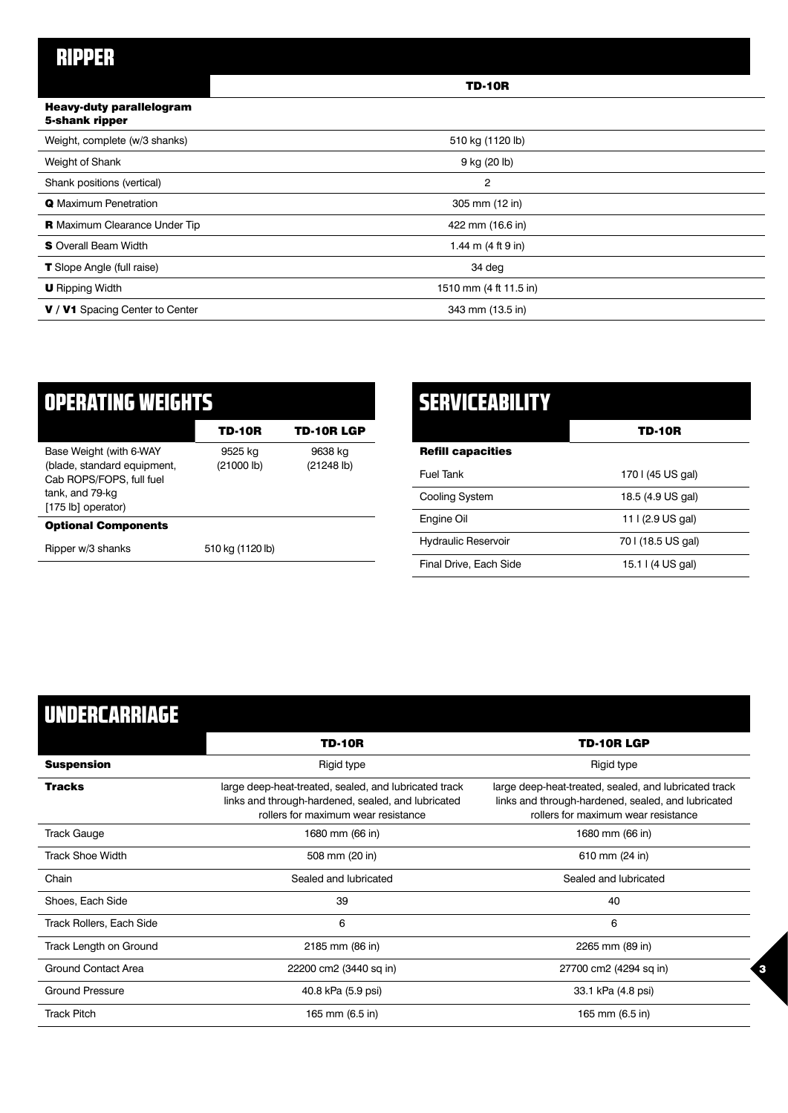### RIPPER

|                                                   | <b>TD-10R</b>          |  |
|---------------------------------------------------|------------------------|--|
| <b>Heavy-duty parallelogram</b><br>5-shank ripper |                        |  |
| Weight, complete (w/3 shanks)                     | 510 kg (1120 lb)       |  |
| Weight of Shank                                   | 9 kg (20 lb)           |  |
| Shank positions (vertical)                        | $\overline{2}$         |  |
| <b>Q</b> Maximum Penetration                      | 305 mm (12 in)         |  |
| <b>R</b> Maximum Clearance Under Tip              | 422 mm (16.6 in)       |  |
| <b>S</b> Overall Beam Width                       | 1.44 m $(4 ft 9 in)$   |  |
| <b>T</b> Slope Angle (full raise)                 | 34 deg                 |  |
| <b>U</b> Ripping Width                            | 1510 mm (4 ft 11.5 in) |  |
| V / V1 Spacing Center to Center                   | 343 mm (13.5 in)       |  |

| ▎▖▍▚▍▆▎▞▞░▜▆▌▌░▌▛▜▌░▘▍▆▌▐▝▜▝▞▆▗▙▀▎                                                                                          |                       |                       |  |
|-----------------------------------------------------------------------------------------------------------------------------|-----------------------|-----------------------|--|
|                                                                                                                             | TD-10R                | <b>TD-10R LGP</b>     |  |
| Base Weight (with 6-WAY<br>(blade, standard equipment,<br>Cab ROPS/FOPS, full fuel<br>tank, and 79-kg<br>[175 lb] operator) | 9525 kg<br>(21000 lb) | 9638 kg<br>(21248 lb) |  |
| <b>Optional Components</b>                                                                                                  |                       |                       |  |
| Ripper w/3 shanks                                                                                                           | 510 kg (1120 lb)      |                       |  |

| SERVICEMBILITY             |                    |
|----------------------------|--------------------|
|                            | TD-10R             |
| <b>Refill capacities</b>   |                    |
| <b>Fuel Tank</b>           | 170   (45 US gal)  |
| Cooling System             | 18.5 (4.9 US gal)  |
| Engine Oil                 | 11   (2.9 US gal)  |
| <b>Hydraulic Reservoir</b> | 70   (18.5 US gal) |
| Final Drive, Each Side     | 15.1   (4 US gal)  |

3

## UNDERCARRIAGE

|                                 | <b>TD-10R</b>                                                                                                                                      | <b>TD-10R LGP</b>                                                                                                                                  |
|---------------------------------|----------------------------------------------------------------------------------------------------------------------------------------------------|----------------------------------------------------------------------------------------------------------------------------------------------------|
| <b>Suspension</b>               | Rigid type                                                                                                                                         | Rigid type                                                                                                                                         |
| <b>Tracks</b>                   | large deep-heat-treated, sealed, and lubricated track<br>links and through-hardened, sealed, and lubricated<br>rollers for maximum wear resistance | large deep-heat-treated, sealed, and lubricated track<br>links and through-hardened, sealed, and lubricated<br>rollers for maximum wear resistance |
| <b>Track Gauge</b>              | 1680 mm (66 in)                                                                                                                                    | 1680 mm (66 in)                                                                                                                                    |
| <b>Track Shoe Width</b>         | 508 mm (20 in)                                                                                                                                     | 610 mm (24 in)                                                                                                                                     |
| Chain                           | Sealed and lubricated                                                                                                                              | Sealed and lubricated                                                                                                                              |
| Shoes, Each Side                | 39                                                                                                                                                 | 40                                                                                                                                                 |
| <b>Track Rollers, Each Side</b> | 6                                                                                                                                                  | 6                                                                                                                                                  |
| Track Length on Ground          | 2185 mm (86 in)                                                                                                                                    | 2265 mm (89 in)                                                                                                                                    |
| Ground Contact Area             | 22200 cm2 (3440 sq in)                                                                                                                             | 27700 cm2 (4294 sq in)                                                                                                                             |
| <b>Ground Pressure</b>          | 40.8 kPa (5.9 psi)                                                                                                                                 | 33.1 kPa (4.8 psi)                                                                                                                                 |
| <b>Track Pitch</b>              | 165 mm (6.5 in)                                                                                                                                    | 165 mm (6.5 in)                                                                                                                                    |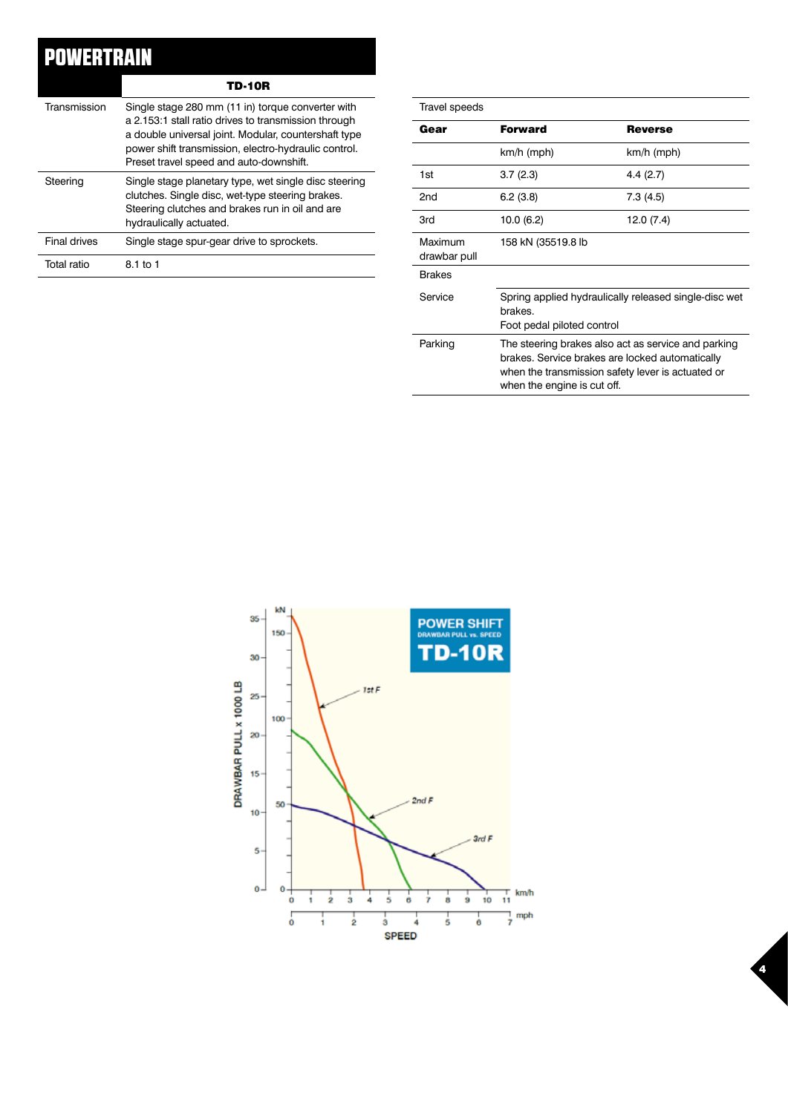## POWERTRAIN

TD-10R

| Transmission        | Single stage 280 mm (11 in) torque converter with<br>a 2.153:1 stall ratio drives to transmission through<br>a double universal joint. Modular, countershaft type<br>power shift transmission, electro-hydraulic control.<br>Preset travel speed and auto-downshift. |
|---------------------|----------------------------------------------------------------------------------------------------------------------------------------------------------------------------------------------------------------------------------------------------------------------|
| Steering            | Single stage planetary type, wet single disc steering<br>clutches. Single disc, wet-type steering brakes.<br>Steering clutches and brakes run in oil and are<br>hydraulically actuated.                                                                              |
| <b>Final drives</b> | Single stage spur-gear drive to sprockets.                                                                                                                                                                                                                           |
| Total ratio         | 8.1 to 1                                                                                                                                                                                                                                                             |

| Travel speeds           |                                                                                                                                                                                            |                |  |
|-------------------------|--------------------------------------------------------------------------------------------------------------------------------------------------------------------------------------------|----------------|--|
| Gear                    | <b>Forward</b>                                                                                                                                                                             | <b>Reverse</b> |  |
|                         | $km/h$ (mph)                                                                                                                                                                               | km/h (mph)     |  |
| 1st                     | 3.7(2.3)                                                                                                                                                                                   | 4.4(2.7)       |  |
| 2 <sub>nd</sub>         | 6.2(3.8)                                                                                                                                                                                   | 7.3(4.5)       |  |
| 3rd                     | 10.0 (6.2)                                                                                                                                                                                 | 12.0 (7.4)     |  |
| Maximum<br>drawbar pull | 158 kN (35519.8 lb                                                                                                                                                                         |                |  |
| <b>Brakes</b>           |                                                                                                                                                                                            |                |  |
| Service                 | Spring applied hydraulically released single-disc wet<br>brakes.<br>Foot pedal piloted control                                                                                             |                |  |
| Parking                 | The steering brakes also act as service and parking<br>brakes. Service brakes are locked automatically<br>when the transmission safety lever is actuated or<br>when the engine is cut off. |                |  |

4

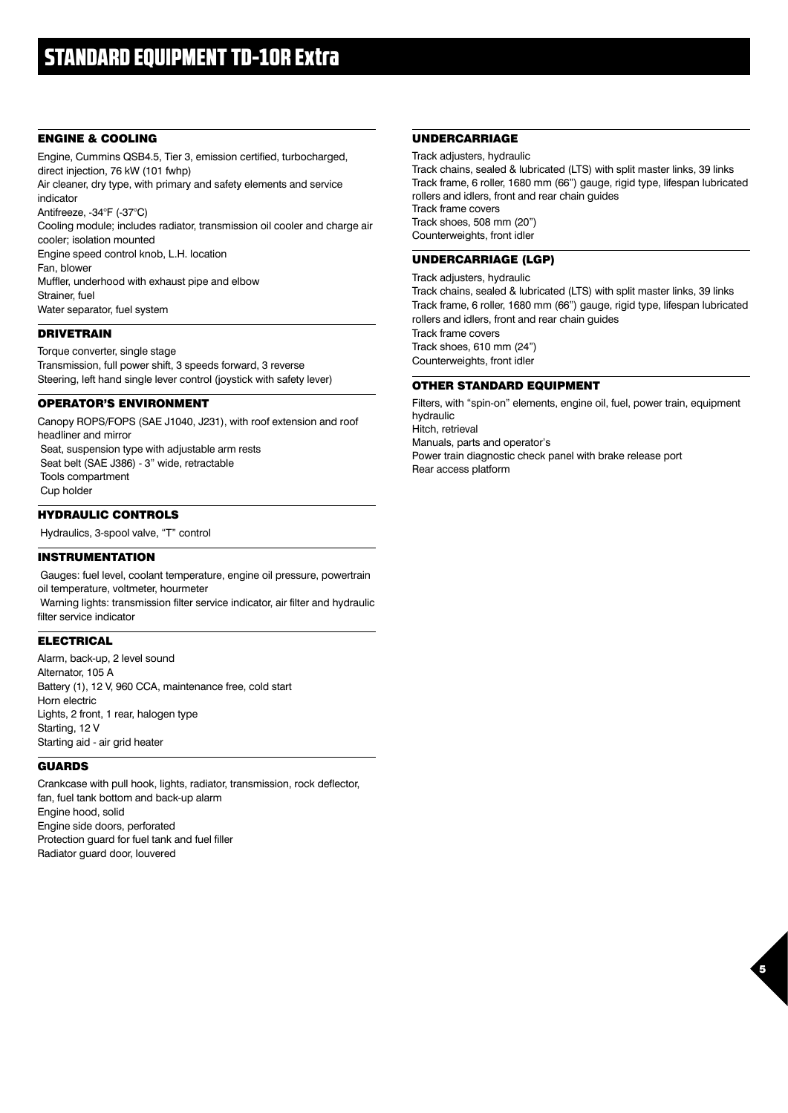#### ENGINE & COOLING

Engine, Cummins QSB4.5, Tier 3, emission certified, turbocharged, direct injection, 76 kW (101 fwhp)

Air cleaner, dry type, with primary and safety elements and service indicator Antifreeze, -34°F (-37°C)

Cooling module; includes radiator, transmission oil cooler and charge air cooler; isolation mounted

Engine speed control knob, L.H. location

Fan, blower

Muffler, underhood with exhaust pipe and elbow Strainer, fuel

Water separator, fuel system

#### DRIVETRAIN

Torque converter, single stage Transmission, full power shift, 3 speeds forward, 3 reverse Steering, left hand single lever control (joystick with safety lever)

#### OPERATOR'S ENVIRONMENT

Canopy ROPS/FOPS (SAE J1040, J231), with roof extension and roof headliner and mirror Seat, suspension type with adjustable arm rests Seat belt (SAE J386) - 3" wide, retractable Tools compartment Cup holder

#### HYDRAULIC CONTROLS

Hydraulics, 3-spool valve, "T" control

#### INSTRUMENTATION

 Gauges: fuel level, coolant temperature, engine oil pressure, powertrain oil temperature, voltmeter, hourmeter Warning lights: transmission filter service indicator, air filter and hydraulic filter service indicator

#### ELECTRICAL

Alarm, back-up, 2 level sound Alternator, 105 A Battery (1), 12 V, 960 CCA, maintenance free, cold start Horn electric Lights, 2 front, 1 rear, halogen type Starting, 12 V Starting aid - air grid heater

#### GUARDS

Crankcase with pull hook, lights, radiator, transmission, rock deflector, fan, fuel tank bottom and back-up alarm Engine hood, solid Engine side doors, perforated Protection guard for fuel tank and fuel filler Radiator guard door, louvered

#### UNDERCARRIAGE

Track adjusters, hydraulic Track chains, sealed & lubricated (LTS) with split master links, 39 links Track frame, 6 roller, 1680 mm (66") gauge, rigid type, lifespan lubricated rollers and idlers, front and rear chain guides Track frame covers Track shoes, 508 mm (20") Counterweights, front idler

#### UNDERCARRIAGE (LGP)

Track adjusters, hydraulic Track chains, sealed & lubricated (LTS) with split master links, 39 links Track frame, 6 roller, 1680 mm (66") gauge, rigid type, lifespan lubricated rollers and idlers, front and rear chain guides Track frame covers Track shoes, 610 mm (24") Counterweights, front idler

#### OTHER STANDARD EQUIPMENT

Filters, with "spin-on" elements, engine oil, fuel, power train, equipment hydraulic Hitch, retrieval Manuals, parts and operator's Power train diagnostic check panel with brake release port Rear access platform

5